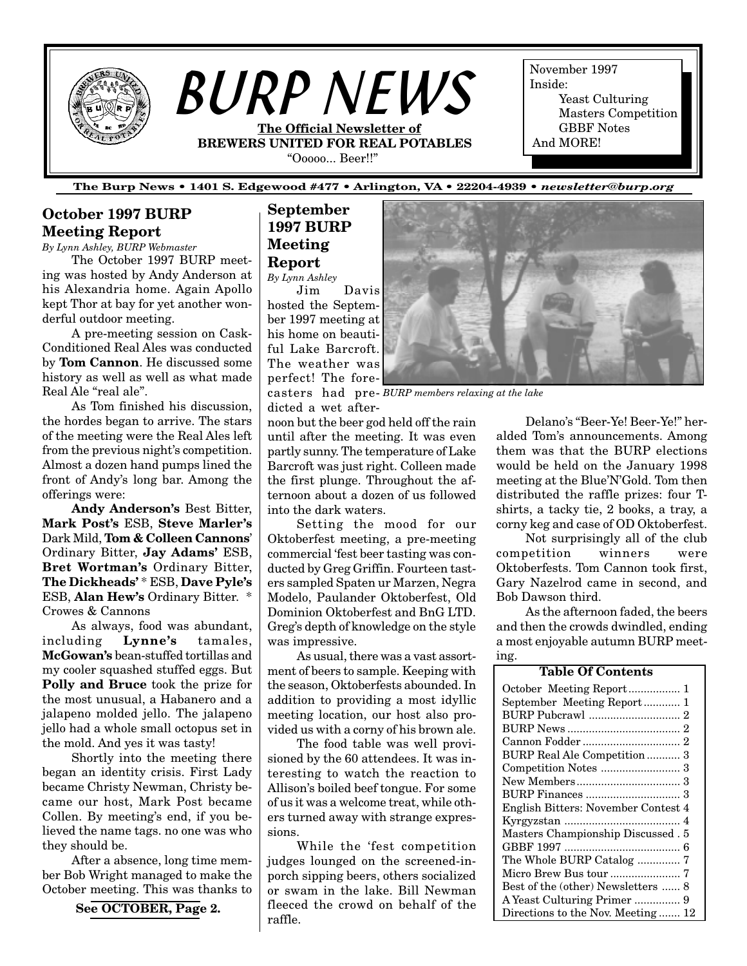

*BURP NEWS* **The Official Newsletter of BREWERS UNITED FOR REAL POTABLES**

"Ooooo... Beer!!"

November 1997 Inside: Yeast Culturing Masters Competition GBBF Notes And MORE!

**The Burp News • 1401 S. Edgewood #477 • Arlington, VA • 22204-4939 •** *newsletter@burp.org*

# **October 1997 BURP Meeting Report**

*By Lynn Ashley, BURP Webmaster*

The October 1997 BURP meeting was hosted by Andy Anderson at his Alexandria home. Again Apollo kept Thor at bay for yet another wonderful outdoor meeting.

A pre-meeting session on Cask-Conditioned Real Ales was conducted by **Tom Cannon**. He discussed some history as well as well as what made Real Ale "real ale".

As Tom finished his discussion, the hordes began to arrive. The stars of the meeting were the Real Ales left from the previous night's competition. Almost a dozen hand pumps lined the front of Andy's long bar. Among the offerings were:

**Andy Anderson's** Best Bitter, **Mark Post's** ESB, **Steve Marler's** Dark Mild, **Tom & Colleen Cannons**' Ordinary Bitter, **Jay Adams'** ESB, **Bret Wortman's** Ordinary Bitter, **The Dickheads'** \* ESB, **Dave Pyle's** ESB, **Alan Hew's** Ordinary Bitter. \* Crowes & Cannons

As always, food was abundant, including **Lynne's** tamales, **McGowan's** bean-stuffed tortillas and my cooler squashed stuffed eggs. But **Polly and Bruce** took the prize for the most unusual, a Habanero and a jalapeno molded jello. The jalapeno jello had a whole small octopus set in the mold. And yes it was tasty!

Shortly into the meeting there began an identity crisis. First Lady became Christy Newman, Christy became our host, Mark Post became Collen. By meeting's end, if you believed the name tags. no one was who they should be.

After a absence, long time member Bob Wright managed to make the October meeting. This was thanks to

# **See OCTOBER, Page 2.**

# **September 1997 BURP Meeting Report**

*By Lynn Ashley*

Jim Davis hosted the September 1997 meeting at his home on beautiful Lake Barcroft. The weather was perfect! The fore-

casters had pre-*BURP members relaxing at the lake* dicted a wet after-

noon but the beer god held off the rain until after the meeting. It was even partly sunny. The temperature of Lake Barcroft was just right. Colleen made the first plunge. Throughout the afternoon about a dozen of us followed into the dark waters.

Setting the mood for our Oktoberfest meeting, a pre-meeting commercial 'fest beer tasting was conducted by Greg Griffin. Fourteen tasters sampled Spaten ur Marzen, Negra Modelo, Paulander Oktoberfest, Old Dominion Oktoberfest and BnG LTD. Greg's depth of knowledge on the style was impressive.

As usual, there was a vast assortment of beers to sample. Keeping with the season, Oktoberfests abounded. In addition to providing a most idyllic meeting location, our host also provided us with a corny of his brown ale.

The food table was well provisioned by the 60 attendees. It was interesting to watch the reaction to Allison's boiled beef tongue. For some of us it was a welcome treat, while others turned away with strange expressions.

While the 'fest competition judges lounged on the screened-inporch sipping beers, others socialized or swam in the lake. Bill Newman fleeced the crowd on behalf of the raffle.



Delano's "Beer-Ye! Beer-Ye!" heralded Tom's announcements. Among them was that the BURP elections would be held on the January 1998 meeting at the Blue'N'Gold. Tom then distributed the raffle prizes: four Tshirts, a tacky tie, 2 books, a tray, a corny keg and case of OD Oktoberfest.

Not surprisingly all of the club competition winners were Oktoberfests. Tom Cannon took first, Gary Nazelrod came in second, and Bob Dawson third.

As the afternoon faded, the beers and then the crowds dwindled, ending a most enjoyable autumn BURP meeting.

#### October Meeting Report................. 1 September Meeting Report ............ 1 [BURP Pubcrawl .............................. 2](#page-1-0) [BURP News ..................................... 2](#page-1-0) [Cannon Fodder ................................ 2](#page-1-0) [BURP Real Ale Competition ........... 3](#page-2-0) [Competition Notes .......................... 3](#page-2-0) [New Members.................................. 3](#page-2-0) [BURP Finances ............................... 3](#page-2-0) [English Bitters: November Contest 4](#page-3-0) [Kyrgyzstan ...................................... 4](#page-3-0) [Masters Championship Discussed . 5](#page-4-0) [GBBF 1997 ...................................... 6](#page-5-0) [The Whole BURP Catalog .............. 7](#page-6-0) [Micro Brew Bus tour ....................... 7](#page-6-0) [Best of the \(other\) Newsletters ...... 8](#page-7-0) [A Yeast Culturing Primer ............... 9](#page-8-0) [Directions to the Nov. Meeting ....... 12](#page--1-0) **Table Of Contents**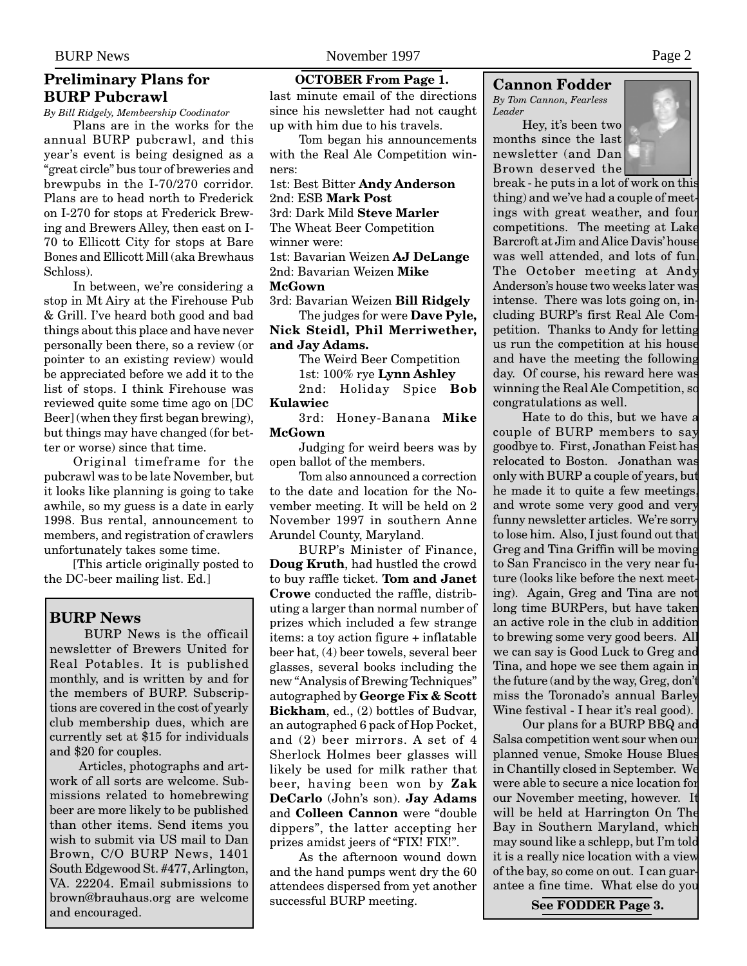# <span id="page-1-0"></span>**Preliminary Plans for BURP Pubcrawl**

*By Bill Ridgely, Membeership Coodinator*

Plans are in the works for the annual BURP pubcrawl, and this year's event is being designed as a "great circle" bus tour of breweries and brewpubs in the I-70/270 corridor. Plans are to head north to Frederick on I-270 for stops at Frederick Brewing and Brewers Alley, then east on I-70 to Ellicott City for stops at Bare Bones and Ellicott Mill (aka Brewhaus Schloss).

In between, we're considering a stop in Mt Airy at the Firehouse Pub & Grill. I've heard both good and bad things about this place and have never personally been there, so a review (or pointer to an existing review) would be appreciated before we add it to the list of stops. I think Firehouse was reviewed quite some time ago on [DC Beer] (when they first began brewing), but things may have changed (for better or worse) since that time.

Original timeframe for the pubcrawl was to be late November, but it looks like planning is going to take awhile, so my guess is a date in early 1998. Bus rental, announcement to members, and registration of crawlers unfortunately takes some time.

[This article originally posted to the DC-beer mailing list. Ed.]

# **BURP News**

 BURP News is the officail newsletter of Brewers United for Real Potables. It is published monthly, and is written by and for the members of BURP. Subscriptions are covered in the cost of yearly club membership dues, which are currently set at \$15 for individuals and \$20 for couples.

Articles, photographs and artwork of all sorts are welcome. Submissions related to homebrewing beer are more likely to be published than other items. Send items you wish to submit via US mail to Dan Brown, C/O BURP News, 1401 South Edgewood St. #477, Arlington, VA. 22204. Email submissions to brown@brauhaus.org are welcome and encouraged.

#### **OCTOBER From Page 1.**

last minute email of the directions since his newsletter had not caught up with him due to his travels.

Tom began his announcements with the Real Ale Competition winners:

1st: Best Bitter **Andy Anderson** 2nd: ESB **Mark Post** 3rd: Dark Mild **Steve Marler** The Wheat Beer Competition winner were: 1st: Bavarian Weizen **AJ DeLange** 2nd: Bavarian Weizen **Mike**

#### **McGown**

3rd: Bavarian Weizen **Bill Ridgely** The judges for were **Dave Pyle,**

**Nick Steidl, Phil Merriwether, and Jay Adams.**

> The Weird Beer Competition 1st: 100% rye **Lynn Ashley**

2nd: Holiday Spice **Bob Kulawiec**

3rd: Honey-Banana **Mike McGown**

Judging for weird beers was by open ballot of the members.

Tom also announced a correction to the date and location for the November meeting. It will be held on 2 November 1997 in southern Anne Arundel County, Maryland.

BURP's Minister of Finance, **Doug Kruth**, had hustled the crowd to buy raffle ticket. **Tom and Janet Crowe** conducted the raffle, distributing a larger than normal number of prizes which included a few strange items: a toy action figure + inflatable beer hat, (4) beer towels, several beer glasses, several books including the new "Analysis of Brewing Techniques" autographed by **George Fix & Scott Bickham**, ed., (2) bottles of Budvar, an autographed 6 pack of Hop Pocket, and (2) beer mirrors. A set of 4 Sherlock Holmes beer glasses will likely be used for milk rather that beer, having been won by **Zak DeCarlo** (John's son). **Jay Adams** and **Colleen Cannon** were "double dippers", the latter accepting her prizes amidst jeers of "FIX! FIX!".

As the afternoon wound down and the hand pumps went dry the 60 attendees dispersed from yet another successful BURP meeting.

#### **Cannon Fodder**

*By Tom Cannon, Fearless Leader*

Hey, it's been two months since the last newsletter (and Dan Brown deserved the



break - he puts in a lot of work on this thing) and we've had a couple of meetings with great weather, and four competitions. The meeting at Lake Barcroft at Jim and Alice Davis' house was well attended, and lots of fun. The October meeting at Andy Anderson's house two weeks later was intense. There was lots going on, including BURP's first Real Ale Competition. Thanks to Andy for letting us run the competition at his house and have the meeting the following day. Of course, his reward here was winning the Real Ale Competition, so congratulations as well.

Hate to do this, but we have a couple of BURP members to say goodbye to. First, Jonathan Feist has relocated to Boston. Jonathan was only with BURP a couple of years, but he made it to quite a few meetings, and wrote some very good and very funny newsletter articles. We're sorry to lose him. Also, I just found out that Greg and Tina Griffin will be moving to San Francisco in the very near future (looks like before the next meeting). Again, Greg and Tina are not long time BURPers, but have taken an active role in the club in addition to brewing some very good beers. All we can say is Good Luck to Greg and Tina, and hope we see them again in the future (and by the way, Greg, don't miss the Toronado's annual Barley Wine festival - I hear it's real good).

Our plans for a BURP BBQ and Salsa competition went sour when our planned venue, Smoke House Blues in Chantilly closed in September. We were able to secure a nice location for our November meeting, however. It will be held at Harrington On The Bay in Southern Maryland, which may sound like a schlepp, but I'm told it is a really nice location with a view of the bay, so come on out. I can guarantee a fine time. What else do you

**See FODDER Page 3.**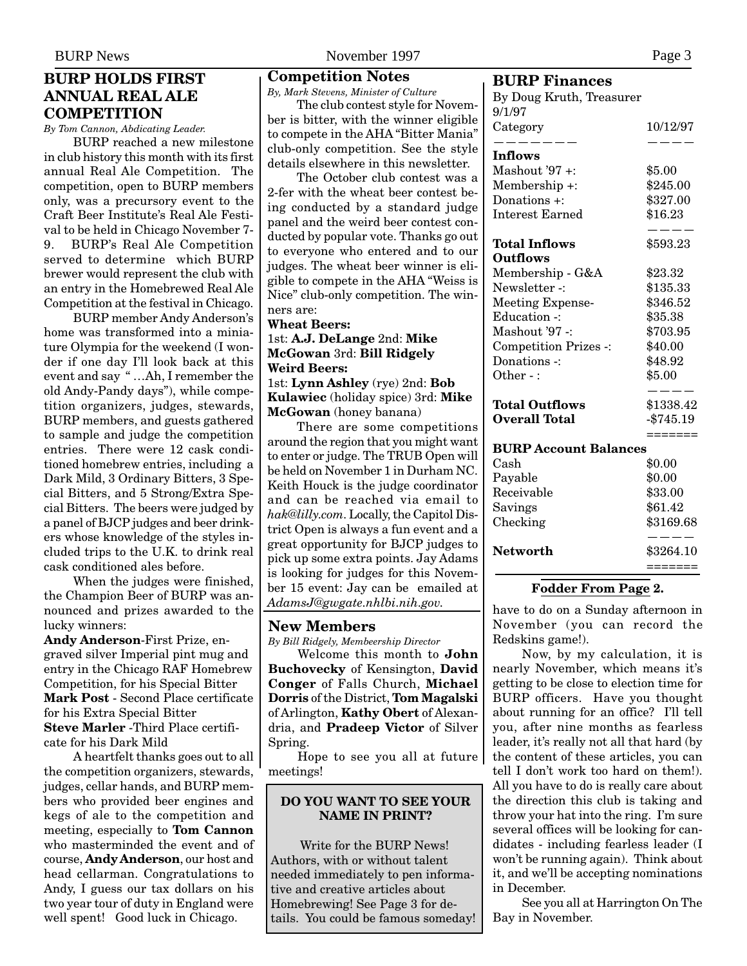# <span id="page-2-0"></span>**BURP HOLDS FIRST ANNUAL REAL ALE COMPETITION**

*By Tom Cannon, Abdicating Leader.*

BURP reached a new milestone in club history this month with its first annual Real Ale Competition. The competition, open to BURP members only, was a precursory event to the Craft Beer Institute's Real Ale Festival to be held in Chicago November 7- 9. BURP's Real Ale Competition served to determine which BURP brewer would represent the club with an entry in the Homebrewed Real Ale Competition at the festival in Chicago.

BURP member Andy Anderson's home was transformed into a miniature Olympia for the weekend (I wonder if one day I'll look back at this event and say " …Ah, I remember the old Andy-Pandy days"), while competition organizers, judges, stewards, BURP members, and guests gathered to sample and judge the competition entries. There were 12 cask conditioned homebrew entries, including a Dark Mild, 3 Ordinary Bitters, 3 Special Bitters, and 5 Strong/Extra Special Bitters. The beers were judged by a panel of BJCP judges and beer drinkers whose knowledge of the styles included trips to the U.K. to drink real cask conditioned ales before.

When the judges were finished, the Champion Beer of BURP was announced and prizes awarded to the lucky winners:

**Andy Anderson**-First Prize, engraved silver Imperial pint mug and entry in the Chicago RAF Homebrew Competition, for his Special Bitter **Mark Post** - Second Place certificate for his Extra Special Bitter **Steve Marler** -Third Place certificate for his Dark Mild

A heartfelt thanks goes out to all the competition organizers, stewards, judges, cellar hands, and BURP members who provided beer engines and kegs of ale to the competition and meeting, especially to **Tom Cannon** who masterminded the event and of course, **Andy Anderson**, our host and head cellarman. Congratulations to Andy, I guess our tax dollars on his two year tour of duty in England were well spent! Good luck in Chicago.

## **Competition Notes**

*By, Mark Stevens, Minister of Culture*

The club contest style for November is bitter, with the winner eligible to compete in the AHA "Bitter Mania" club-only competition. See the style details elsewhere in this newsletter.

The October club contest was a 2-fer with the wheat beer contest being conducted by a standard judge panel and the weird beer contest conducted by popular vote. Thanks go out to everyone who entered and to our judges. The wheat beer winner is eligible to compete in the AHA "Weiss is Nice" club-only competition. The winners are:

**Wheat Beers:** 1st: **A.J. DeLange** 2nd: **Mike McGowan** 3rd: **Bill Ridgely Weird Beers:** 1st: **Lynn Ashley** (rye) 2nd: **Bob Kulawiec** (holiday spice) 3rd: **Mike McGowan** (honey banana)

There are some competitions around the region that you might want to enter or judge. The TRUB Open will be held on November 1 in Durham NC. Keith Houck is the judge coordinator and can be reached via email to *hak@lilly.com*. Locally, the Capitol District Open is always a fun event and a great opportunity for BJCP judges to pick up some extra points. Jay Adams is looking for judges for this November 15 event: Jay can be emailed at AdamsJ@gwgate.nhlbi.nih.gov. have to do on a Sunday afternoon in

#### **New Members**

*By Bill Ridgely, Membeership Director*

Welcome this month to **John Buchovecky** of Kensington, **David Conger** of Falls Church, **Michael Dorris** of the District, **Tom Magalski** of Arlington, **Kathy Obert** of Alexandria, and **Pradeep Victor** of Silver Spring.

Hope to see you all at future meetings!

#### **DO YOU WANT TO SEE YOUR NAME IN PRINT?**

Write for the BURP News! Authors, with or without talent needed immediately to pen informative and creative articles about Homebrewing! See Page 3 for details. You could be famous someday!

# **BURP Finances**

| рони гипансеэ                        |              |  |  |
|--------------------------------------|--------------|--|--|
| By Doug Kruth, Treasurer             |              |  |  |
| 9/1/97                               |              |  |  |
| Category<br>$\overline{\phantom{a}}$ | 10/12/97     |  |  |
| Inflows                              |              |  |  |
| Mashout '97 +:                       | \$5.00       |  |  |
| Membership +:                        | \$245.00     |  |  |
| Donations +:                         | \$327.00     |  |  |
| <b>Interest Earned</b>               | \$16.23      |  |  |
| Total Inflows                        | \$593.23     |  |  |
| <b>Outflows</b>                      |              |  |  |
| Membership - G&A                     | \$23.32      |  |  |
| Newsletter -:                        | \$135.33     |  |  |
| <b>Meeting Expense-</b>              | \$346.52     |  |  |
| <b>Education -:</b>                  | \$35.38      |  |  |
| Mashout '97 -:                       | \$703.95     |  |  |
| <b>Competition Prizes -:</b>         | \$40.00      |  |  |
| Donations -:                         | \$48.92      |  |  |
| Other -:                             | \$5.00       |  |  |
| <b>Total Outflows</b>                | \$1338.42    |  |  |
| <b>Overall Total</b>                 | $-$ \$745.19 |  |  |
|                                      | =======      |  |  |
| <b>BURP Account Balances</b>         |              |  |  |
| $\operatorname{Cash}$                | \$0.00       |  |  |
| Payable                              | \$0.00       |  |  |
| Receivable                           | \$33.00      |  |  |
| Savings                              | \$61.42      |  |  |
| Checking                             | \$3169.68    |  |  |
| <b>Networth</b>                      | \$3264.10    |  |  |
|                                      | =======      |  |  |

#### **Fodder From Page 2.**

November (you can record the Redskins game!).

Now, by my calculation, it is nearly November, which means it's getting to be close to election time for BURP officers. Have you thought about running for an office? I'll tell you, after nine months as fearless leader, it's really not all that hard (by the content of these articles, you can tell I don't work too hard on them!). All you have to do is really care about the direction this club is taking and throw your hat into the ring. I'm sure several offices will be looking for candidates - including fearless leader (I won't be running again). Think about it, and we'll be accepting nominations in December.

See you all at Harrington On The Bay in November.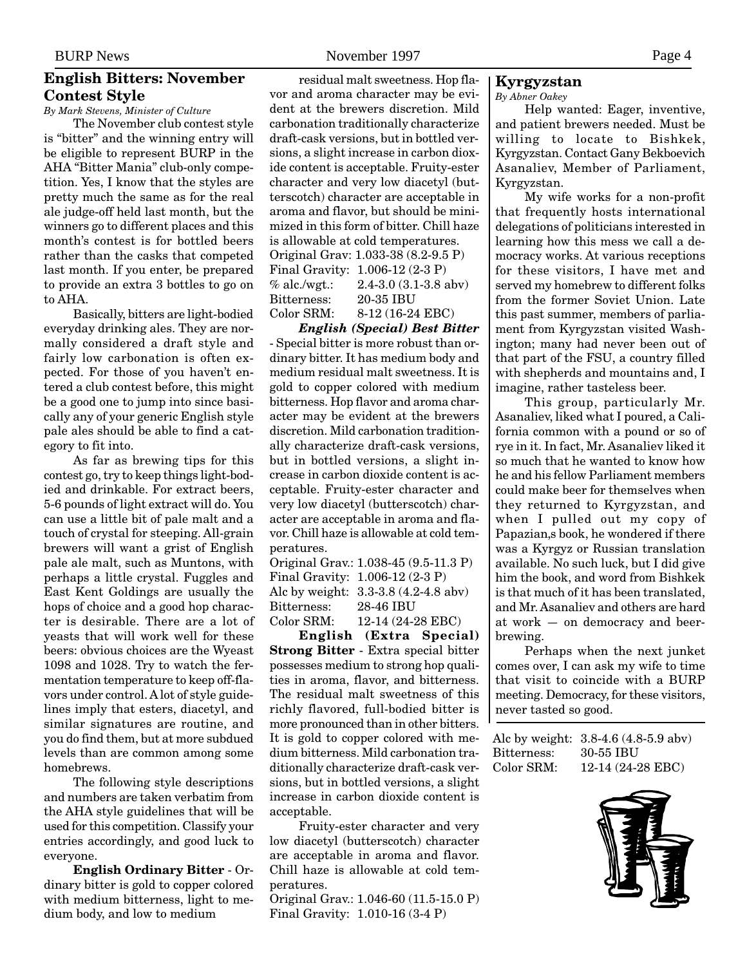# <span id="page-3-0"></span>**English Bitters: November Contest Style**

*By Mark Stevens, Minister of Culture*

The November club contest style is "bitter" and the winning entry will be eligible to represent BURP in the AHA "Bitter Mania" club-only competition. Yes, I know that the styles are pretty much the same as for the real ale judge-off held last month, but the winners go to different places and this month's contest is for bottled beers rather than the casks that competed last month. If you enter, be prepared to provide an extra 3 bottles to go on to AHA.

Basically, bitters are light-bodied everyday drinking ales. They are normally considered a draft style and fairly low carbonation is often expected. For those of you haven't entered a club contest before, this might be a good one to jump into since basically any of your generic English style pale ales should be able to find a category to fit into.

As far as brewing tips for this contest go, try to keep things light-bodied and drinkable. For extract beers, 5-6 pounds of light extract will do. You can use a little bit of pale malt and a touch of crystal for steeping. All-grain brewers will want a grist of English pale ale malt, such as Muntons, with perhaps a little crystal. Fuggles and East Kent Goldings are usually the hops of choice and a good hop character is desirable. There are a lot of yeasts that will work well for these beers: obvious choices are the Wyeast 1098 and 1028. Try to watch the fermentation temperature to keep off-flavors under control. A lot of style guidelines imply that esters, diacetyl, and similar signatures are routine, and you do find them, but at more subdued levels than are common among some homebrews.

The following style descriptions and numbers are taken verbatim from the AHA style guidelines that will be used for this competition. Classify your entries accordingly, and good luck to everyone.

**English Ordinary Bitter** - Ordinary bitter is gold to copper colored with medium bitterness, light to medium body, and low to medium

residual malt sweetness. Hop flavor and aroma character may be evident at the brewers discretion. Mild carbonation traditionally characterize draft-cask versions, but in bottled versions, a slight increase in carbon dioxide content is acceptable. Fruity-ester character and very low diacetyl (butterscotch) character are acceptable in aroma and flavor, but should be minimized in this form of bitter. Chill haze is allowable at cold temperatures. Original Grav: 1.033-38 (8.2-9.5 P) Final Gravity: 1.006-12 (2-3 P) % alc./wgt.: 2.4-3.0 (3.1-3.8 abv) Bitterness: 20-35 IBU Color SRM: 8-12 (16-24 EBC)

*English (Special) Best Bitter* - Special bitter is more robust than ordinary bitter. It has medium body and medium residual malt sweetness. It is gold to copper colored with medium bitterness. Hop flavor and aroma character may be evident at the brewers discretion. Mild carbonation traditionally characterize draft-cask versions, but in bottled versions, a slight increase in carbon dioxide content is acceptable. Fruity-ester character and very low diacetyl (butterscotch) character are acceptable in aroma and flavor. Chill haze is allowable at cold temperatures.

|             | Original Grav.: 1.038-45 (9.5-11.3 P) |
|-------------|---------------------------------------|
|             | Final Gravity: 1.006-12 (2-3 P)       |
|             | Alc by weight: 3.3-3.8 (4.2-4.8 abv)  |
| Bitterness: | 28-46 IBU                             |
| Color SRM:  | 12-14 (24-28 EBC)                     |

**English (Extra Special) Strong Bitter** - Extra special bitter possesses medium to strong hop qualities in aroma, flavor, and bitterness. The residual malt sweetness of this richly flavored, full-bodied bitter is more pronounced than in other bitters. It is gold to copper colored with medium bitterness. Mild carbonation traditionally characterize draft-cask versions, but in bottled versions, a slight increase in carbon dioxide content is acceptable.

Fruity-ester character and very low diacetyl (butterscotch) character are acceptable in aroma and flavor. Chill haze is allowable at cold temperatures.

Original Grav.: 1.046-60 (11.5-15.0 P) Final Gravity: 1.010-16 (3-4 P)

# **Kyrgyzstan**

*By Abner Oakey*

Help wanted: Eager, inventive, and patient brewers needed. Must be willing to locate to Bishkek, Kyrgyzstan. Contact Gany Bekboevich Asanaliev, Member of Parliament, Kyrgyzstan.

My wife works for a non-profit that frequently hosts international delegations of politicians interested in learning how this mess we call a democracy works. At various receptions for these visitors, I have met and served my homebrew to different folks from the former Soviet Union. Late this past summer, members of parliament from Kyrgyzstan visited Washington; many had never been out of that part of the FSU, a country filled with shepherds and mountains and, I imagine, rather tasteless beer.

This group, particularly Mr. Asanaliev, liked what I poured, a California common with a pound or so of rye in it. In fact, Mr. Asanaliev liked it so much that he wanted to know how he and his fellow Parliament members could make beer for themselves when they returned to Kyrgyzstan, and when I pulled out my copy of Papazian, s book, he wondered if there was a Kyrgyz or Russian translation available. No such luck, but I did give him the book, and word from Bishkek is that much of it has been translated, and Mr. Asanaliev and others are hard at work — on democracy and beerbrewing.

Perhaps when the next junket comes over, I can ask my wife to time that visit to coincide with a BURP meeting. Democracy, for these visitors, never tasted so good.

Alc by weight: 3.8-4.6 (4.8-5.9 abv) Bitterness: 30-55 IBU Color SRM: 12-14 (24-28 EBC)

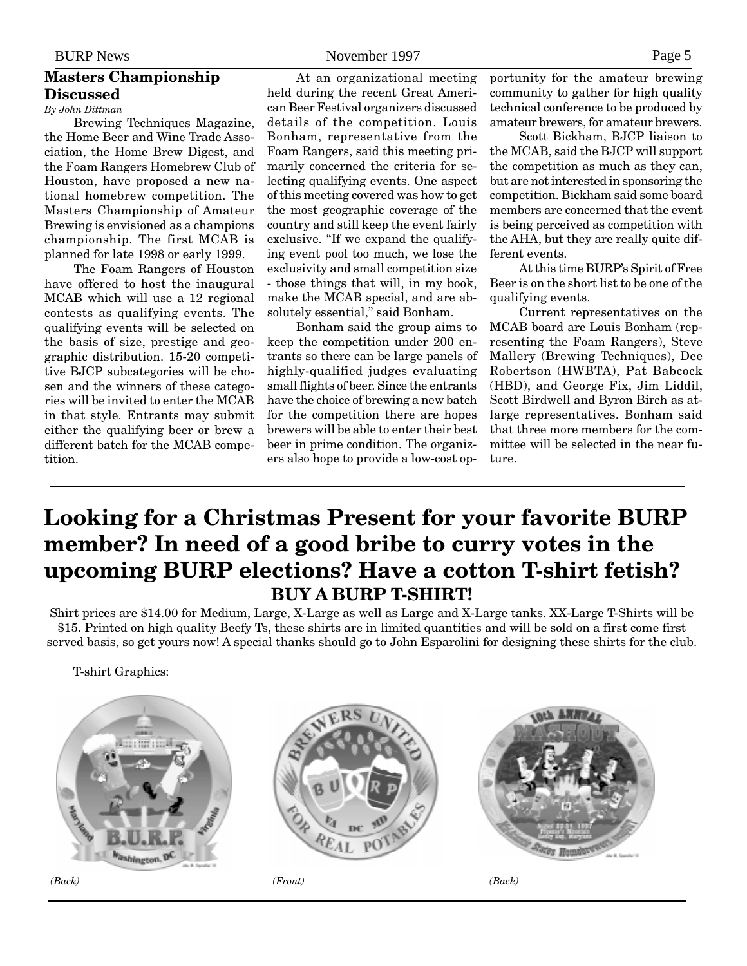# <span id="page-4-0"></span>**Masters Championship Discussed**

*By John Dittman* Brewing Techniques Magazine, the Home Beer and Wine Trade Association, the Home Brew Digest, and the Foam Rangers Homebrew Club of Houston, have proposed a new na-

tional homebrew competition. The Masters Championship of Amateur Brewing is envisioned as a champions championship. The first MCAB is planned for late 1998 or early 1999.

The Foam Rangers of Houston have offered to host the inaugural MCAB which will use a 12 regional contests as qualifying events. The qualifying events will be selected on the basis of size, prestige and geographic distribution. 15-20 competitive BJCP subcategories will be chosen and the winners of these categories will be invited to enter the MCAB in that style. Entrants may submit either the qualifying beer or brew a different batch for the MCAB competition.

At an organizational meeting held during the recent Great American Beer Festival organizers discussed details of the competition. Louis Bonham, representative from the Foam Rangers, said this meeting primarily concerned the criteria for selecting qualifying events. One aspect of this meeting covered was how to get the most geographic coverage of the country and still keep the event fairly exclusive. "If we expand the qualifying event pool too much, we lose the exclusivity and small competition size - those things that will, in my book, make the MCAB special, and are absolutely essential," said Bonham.

Bonham said the group aims to keep the competition under 200 entrants so there can be large panels of highly-qualified judges evaluating small flights of beer. Since the entrants have the choice of brewing a new batch for the competition there are hopes brewers will be able to enter their best beer in prime condition. The organizers also hope to provide a low-cost opportunity for the amateur brewing community to gather for high quality technical conference to be produced by amateur brewers, for amateur brewers.

Scott Bickham, BJCP liaison to the MCAB, said the BJCP will support the competition as much as they can, but are not interested in sponsoring the competition. Bickham said some board members are concerned that the event is being perceived as competition with the AHA, but they are really quite different events.

At this time BURP's Spirit of Free Beer is on the short list to be one of the qualifying events.

Current representatives on the MCAB board are Louis Bonham (representing the Foam Rangers), Steve Mallery (Brewing Techniques), Dee Robertson (HWBTA), Pat Babcock (HBD), and George Fix, Jim Liddil, Scott Birdwell and Byron Birch as atlarge representatives. Bonham said that three more members for the committee will be selected in the near future.

# **Looking for a Christmas Present for your favorite BURP member? In need of a good bribe to curry votes in the upcoming BURP elections? Have a cotton T-shirt fetish? BUY A BURP T-SHIRT!**

Shirt prices are \$14.00 for Medium, Large, X-Large as well as Large and X-Large tanks. XX-Large T-Shirts will be \$15. Printed on high quality Beefy Ts, these shirts are in limited quantities and will be sold on a first come first served basis, so get yours now! A special thanks should go to John Esparolini for designing these shirts for the club.

T-shirt Graphics:





*(Back) (Front) (Back)*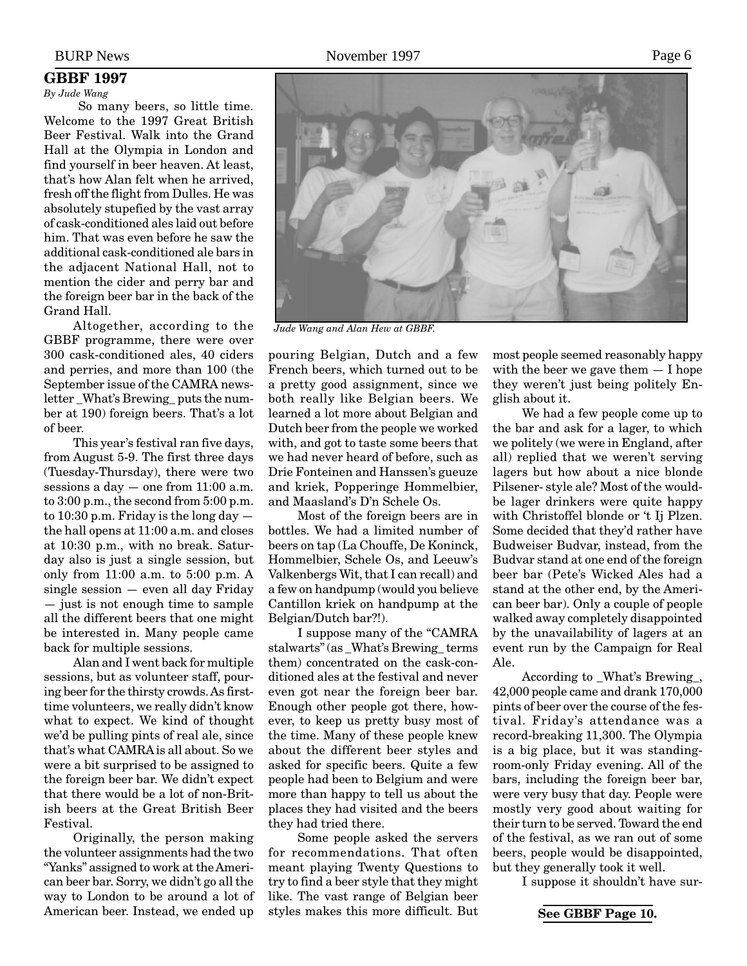#### <span id="page-5-0"></span>*By Jude Wang*

 So many beers, so little time. Welcome to the 1997 Great British Beer Festival. Walk into the Grand Hall at the Olympia in London and find yourself in beer heaven. At least, that's how Alan felt when he arrived, fresh off the flight from Dulles. He was absolutely stupefied by the vast array of cask-conditioned ales laid out before him. That was even before he saw the additional cask-conditioned ale bars in the adjacent National Hall, not to mention the cider and perry bar and the foreign beer bar in the back of the Grand Hall.

Altogether, according to the GBBF programme, there were over 300 cask-conditioned ales, 40 ciders and perries, and more than 100 (the September issue of the CAMRA newsletter \_What's Brewing\_ puts the number at 190) foreign beers. That's a lot of beer.

This year's festival ran five days, from August 5-9. The first three days (Tuesday-Thursday), there were two sessions a day — one from 11:00 a.m. to 3:00 p.m., the second from 5:00 p.m. to 10:30 p.m. Friday is the long day the hall opens at 11:00 a.m. and closes at 10:30 p.m., with no break. Saturday also is just a single session, but only from 11:00 a.m. to 5:00 p.m. A single session — even all day Friday — just is not enough time to sample all the different beers that one might be interested in. Many people came back for multiple sessions.

Alan and I went back for multiple sessions, but as volunteer staff, pouring beer for the thirsty crowds. As firsttime volunteers, we really didn't know what to expect. We kind of thought we'd be pulling pints of real ale, since that's what CAMRA is all about. So we were a bit surprised to be assigned to the foreign beer bar. We didn't expect that there would be a lot of non-British beers at the Great British Beer Festival.

Originally, the person making the volunteer assignments had the two "Yanks" assigned to work at the American beer bar. Sorry, we didn't go all the way to London to be around a lot of American beer. Instead, we ended up



*Jude Wang and Alan Hew at GBBF.*

pouring Belgian, Dutch and a few French beers, which turned out to be a pretty good assignment, since we both really like Belgian beers. We learned a lot more about Belgian and Dutch beer from the people we worked with, and got to taste some beers that we had never heard of before, such as Drie Fonteinen and Hanssen's gueuze and kriek, Popperinge Hommelbier, and Maasland's D'n Schele Os.

Most of the foreign beers are in bottles. We had a limited number of beers on tap (La Chouffe, De Koninck, Hommelbier, Schele Os, and Leeuw's Valkenbergs Wit, that I can recall) and a few on handpump (would you believe Cantillon kriek on handpump at the Belgian/Dutch bar?!).

I suppose many of the "CAMRA stalwarts" (as \_What's Brewing\_ terms them) concentrated on the cask-conditioned ales at the festival and never even got near the foreign beer bar. Enough other people got there, however, to keep us pretty busy most of the time. Many of these people knew about the different beer styles and asked for specific beers. Quite a few people had been to Belgium and were more than happy to tell us about the places they had visited and the beers they had tried there.

Some people asked the servers for recommendations. That often meant playing Twenty Questions to try to find a beer style that they might like. The vast range of Belgian beer styles makes this more difficult. But most people seemed reasonably happy with the beer we gave them  $- I$  hope they weren't just being politely English about it.

We had a few people come up to the bar and ask for a lager, to which we politely (we were in England, after all) replied that we weren't serving lagers but how about a nice blonde Pilsener- style ale? Most of the wouldbe lager drinkers were quite happy with Christoffel blonde or 't Ij Plzen. Some decided that they'd rather have Budweiser Budvar, instead, from the Budvar stand at one end of the foreign beer bar (Pete's Wicked Ales had a stand at the other end, by the American beer bar). Only a couple of people walked away completely disappointed by the unavailability of lagers at an event run by the Campaign for Real Ale.

According to \_What's Brewing\_, 42,000 people came and drank 170,000 pints of beer over the course of the festival. Friday's attendance was a record-breaking 11,300. The Olympia is a big place, but it was standingroom-only Friday evening. All of the bars, including the foreign beer bar, were very busy that day. People were mostly very good about waiting for their turn to be served. Toward the end of the festival, as we ran out of some beers, people would be disappointed, but they generally took it well.

I suppose it shouldn't have sur-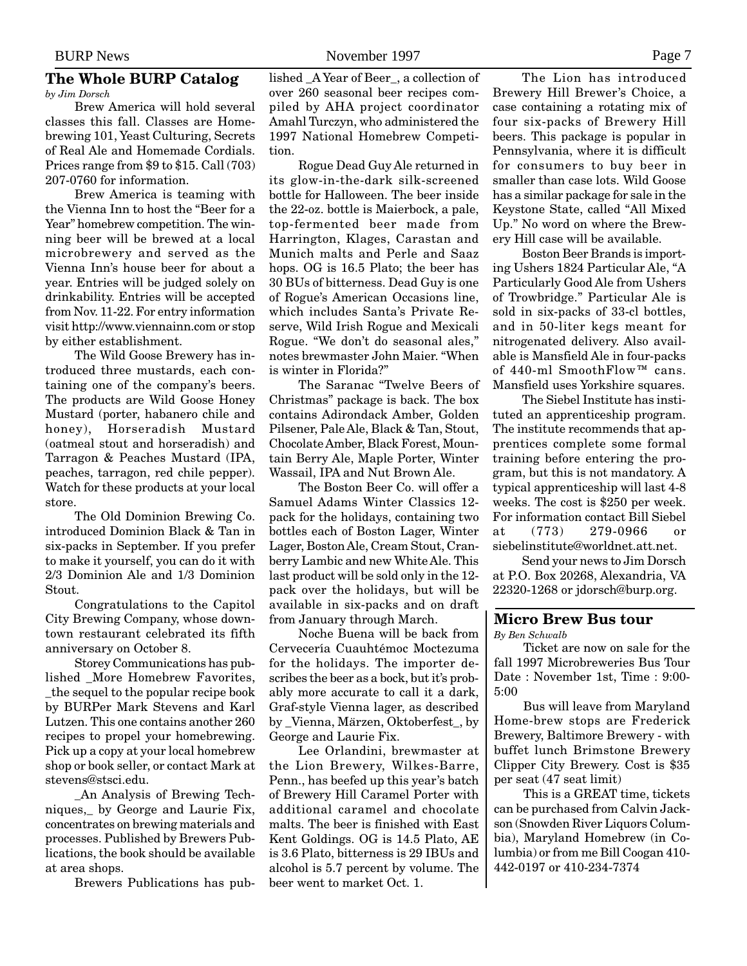#### <span id="page-6-0"></span>**The Whole BURP Catalog** *by Jim Dorsch*

Brew America will hold several classes this fall. Classes are Homebrewing 101, Yeast Culturing, Secrets of Real Ale and Homemade Cordials. Prices range from \$9 to \$15. Call (703) 207-0760 for information.

Brew America is teaming with the Vienna Inn to host the "Beer for a Year" homebrew competition. The winning beer will be brewed at a local microbrewery and served as the Vienna Inn's house beer for about a year. Entries will be judged solely on drinkability. Entries will be accepted from Nov. 11-22. For entry information visit http://www.viennainn.com or stop by either establishment.

The Wild Goose Brewery has introduced three mustards, each containing one of the company's beers. The products are Wild Goose Honey Mustard (porter, habanero chile and honey), Horseradish Mustard (oatmeal stout and horseradish) and Tarragon & Peaches Mustard (IPA, peaches, tarragon, red chile pepper). Watch for these products at your local store.

The Old Dominion Brewing Co. introduced Dominion Black & Tan in six-packs in September. If you prefer to make it yourself, you can do it with 2/3 Dominion Ale and 1/3 Dominion Stout.

Congratulations to the Capitol City Brewing Company, whose downtown restaurant celebrated its fifth anniversary on October 8.

Storey Communications has published \_More Homebrew Favorites, \_the sequel to the popular recipe book by BURPer Mark Stevens and Karl Lutzen. This one contains another 260 recipes to propel your homebrewing. Pick up a copy at your local homebrew shop or book seller, or contact Mark at stevens@stsci.edu.

\_An Analysis of Brewing Techniques,\_ by George and Laurie Fix, concentrates on brewing materials and processes. Published by Brewers Publications, the book should be available at area shops.

Brewers Publications has pub-

lished \_A Year of Beer\_, a collection of over 260 seasonal beer recipes compiled by AHA project coordinator Amahl Turczyn, who administered the 1997 National Homebrew Competition.

Rogue Dead Guy Ale returned in its glow-in-the-dark silk-screened bottle for Halloween. The beer inside the 22-oz. bottle is Maierbock, a pale, top-fermented beer made from Harrington, Klages, Carastan and Munich malts and Perle and Saaz hops. OG is 16.5 Plato; the beer has 30 BUs of bitterness. Dead Guy is one of Rogue's American Occasions line, which includes Santa's Private Reserve, Wild Irish Rogue and Mexicali Rogue. "We don't do seasonal ales," notes brewmaster John Maier. "When is winter in Florida?"

The Saranac "Twelve Beers of Christmas" package is back. The box contains Adirondack Amber, Golden Pilsener, Pale Ale, Black & Tan, Stout, Chocolate Amber, Black Forest, Mountain Berry Ale, Maple Porter, Winter Wassail, IPA and Nut Brown Ale.

The Boston Beer Co. will offer a Samuel Adams Winter Classics 12 pack for the holidays, containing two bottles each of Boston Lager, Winter Lager, Boston Ale, Cream Stout, Cranberry Lambic and new White Ale. This last product will be sold only in the 12 pack over the holidays, but will be available in six-packs and on draft from January through March.

Noche Buena will be back from Cervecería Cuauhtémoc Moctezuma for the holidays. The importer describes the beer as a bock, but it's probably more accurate to call it a dark, Graf-style Vienna lager, as described by \_Vienna, Märzen, Oktoberfest\_, by George and Laurie Fix.

Lee Orlandini, brewmaster at the Lion Brewery, Wilkes-Barre, Penn., has beefed up this year's batch of Brewery Hill Caramel Porter with additional caramel and chocolate malts. The beer is finished with East Kent Goldings. OG is 14.5 Plato, AE is 3.6 Plato, bitterness is 29 IBUs and alcohol is 5.7 percent by volume. The beer went to market Oct. 1.

The Lion has introduced Brewery Hill Brewer's Choice, a case containing a rotating mix of four six-packs of Brewery Hill beers. This package is popular in Pennsylvania, where it is difficult for consumers to buy beer in smaller than case lots. Wild Goose has a similar package for sale in the Keystone State, called "All Mixed Up." No word on where the Brewery Hill case will be available.

Boston Beer Brands is importing Ushers 1824 Particular Ale, "A Particularly Good Ale from Ushers of Trowbridge." Particular Ale is sold in six-packs of 33-cl bottles, and in 50-liter kegs meant for nitrogenated delivery. Also available is Mansfield Ale in four-packs of 440-ml SmoothFlow™ cans. Mansfield uses Yorkshire squares.

The Siebel Institute has instituted an apprenticeship program. The institute recommends that apprentices complete some formal training before entering the program, but this is not mandatory. A typical apprenticeship will last 4-8 weeks. The cost is \$250 per week. For information contact Bill Siebel at (773) 279-0966 or siebelinstitute@worldnet.att.net.

Send your news to Jim Dorsch at P.O. Box 20268, Alexandria, VA 22320-1268 or jdorsch@burp.org.

#### **Micro Brew Bus tour**

*By Ben Schwalb*

Ticket are now on sale for the fall 1997 Microbreweries Bus Tour Date : November 1st, Time : 9:00- 5:00

Bus will leave from Maryland Home-brew stops are Frederick Brewery, Baltimore Brewery - with buffet lunch Brimstone Brewery Clipper City Brewery. Cost is \$35 per seat (47 seat limit)

This is a GREAT time, tickets can be purchased from Calvin Jackson (Snowden River Liquors Columbia), Maryland Homebrew (in Columbia) or from me Bill Coogan 410- 442-0197 or 410-234-7374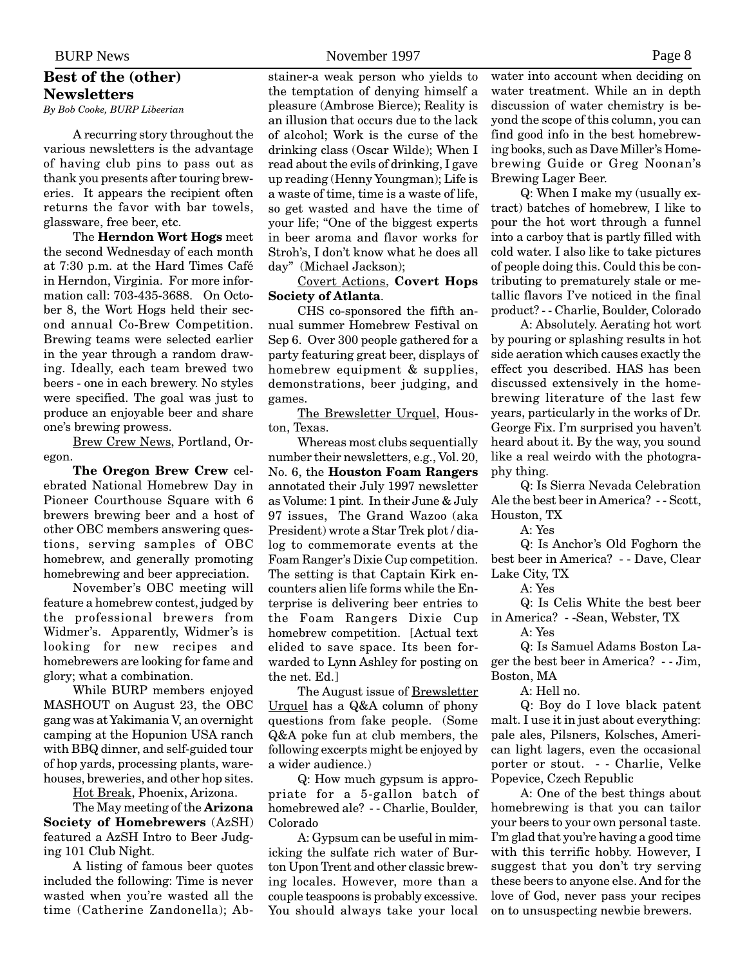# <span id="page-7-0"></span>**Best of the (other) Newsletters**

*By Bob Cooke, BURP Libeerian*

A recurring story throughout the various newsletters is the advantage of having club pins to pass out as thank you presents after touring breweries. It appears the recipient often returns the favor with bar towels, glassware, free beer, etc.

The **Herndon Wort Hogs** meet the second Wednesday of each month at 7:30 p.m. at the Hard Times Café in Herndon, Virginia. For more information call: 703-435-3688. On October 8, the Wort Hogs held their second annual Co-Brew Competition. Brewing teams were selected earlier in the year through a random drawing. Ideally, each team brewed two beers - one in each brewery. No styles were specified. The goal was just to produce an enjoyable beer and share one's brewing prowess.

Brew Crew News, Portland, Oregon.

**The Oregon Brew Crew** celebrated National Homebrew Day in Pioneer Courthouse Square with 6 brewers brewing beer and a host of other OBC members answering questions, serving samples of OBC homebrew, and generally promoting homebrewing and beer appreciation.

November's OBC meeting will feature a homebrew contest, judged by the professional brewers from Widmer's. Apparently, Widmer's is looking for new recipes and homebrewers are looking for fame and glory; what a combination.

While BURP members enjoyed MASHOUT on August 23, the OBC gang was at Yakimania V, an overnight camping at the Hopunion USA ranch with BBQ dinner, and self-guided tour of hop yards, processing plants, warehouses, breweries, and other hop sites.

Hot Break, Phoenix, Arizona.

The May meeting of the **Arizona Society of Homebrewers** (AzSH) featured a AzSH Intro to Beer Judging 101 Club Night.

A listing of famous beer quotes included the following: Time is never wasted when you're wasted all the time (Catherine Zandonella); Abstainer-a weak person who yields to the temptation of denying himself a pleasure (Ambrose Bierce); Reality is an illusion that occurs due to the lack of alcohol; Work is the curse of the drinking class (Oscar Wilde); When I read about the evils of drinking, I gave up reading (Henny Youngman); Life is a waste of time, time is a waste of life, so get wasted and have the time of your life; "One of the biggest experts in beer aroma and flavor works for Stroh's, I don't know what he does all day" (Michael Jackson);

Covert Actions, **Covert Hops Society of Atlanta**.

CHS co-sponsored the fifth annual summer Homebrew Festival on Sep 6. Over 300 people gathered for a party featuring great beer, displays of homebrew equipment & supplies, demonstrations, beer judging, and games.

The Brewsletter Urquel, Houston, Texas.

Whereas most clubs sequentially number their newsletters, e.g., Vol. 20, No. 6, the **Houston Foam Rangers** annotated their July 1997 newsletter as Volume: 1 pint. In their June & July 97 issues, The Grand Wazoo (aka President) wrote a Star Trek plot / dialog to commemorate events at the Foam Ranger's Dixie Cup competition. The setting is that Captain Kirk encounters alien life forms while the Enterprise is delivering beer entries to the Foam Rangers Dixie Cup homebrew competition. [Actual text elided to save space. Its been forwarded to Lynn Ashley for posting on the net. Ed.]

The August issue of Brewsletter Urquel has a Q&A column of phony questions from fake people. (Some Q&A poke fun at club members, the following excerpts might be enjoyed by a wider audience.)

Q: How much gypsum is appropriate for a 5-gallon batch of homebrewed ale? - - Charlie, Boulder, Colorado

A: Gypsum can be useful in mimicking the sulfate rich water of Burton Upon Trent and other classic brewing locales. However, more than a couple teaspoons is probably excessive. You should always take your local water into account when deciding on water treatment. While an in depth discussion of water chemistry is beyond the scope of this column, you can find good info in the best homebrewing books, such as Dave Miller's Homebrewing Guide or Greg Noonan's Brewing Lager Beer.

Q: When I make my (usually extract) batches of homebrew, I like to pour the hot wort through a funnel into a carboy that is partly filled with cold water. I also like to take pictures of people doing this. Could this be contributing to prematurely stale or metallic flavors I've noticed in the final product? - - Charlie, Boulder, Colorado

A: Absolutely. Aerating hot wort by pouring or splashing results in hot side aeration which causes exactly the effect you described. HAS has been discussed extensively in the homebrewing literature of the last few years, particularly in the works of Dr. George Fix. I'm surprised you haven't heard about it. By the way, you sound like a real weirdo with the photography thing.

Q: Is Sierra Nevada Celebration Ale the best beer in America? - - Scott, Houston, TX

A: Yes

Q: Is Anchor's Old Foghorn the best beer in America? - - Dave, Clear Lake City, TX

A: Yes

Q: Is Celis White the best beer in America? - -Sean, Webster, TX

A: Yes

Q: Is Samuel Adams Boston Lager the best beer in America? - - Jim, Boston, MA

A: Hell no.

Q: Boy do I love black patent malt. I use it in just about everything: pale ales, Pilsners, Kolsches, American light lagers, even the occasional porter or stout. - - Charlie, Velke Popevice, Czech Republic

A: One of the best things about homebrewing is that you can tailor your beers to your own personal taste. I'm glad that you're having a good time with this terrific hobby. However, I suggest that you don't try serving these beers to anyone else. And for the love of God, never pass your recipes on to unsuspecting newbie brewers.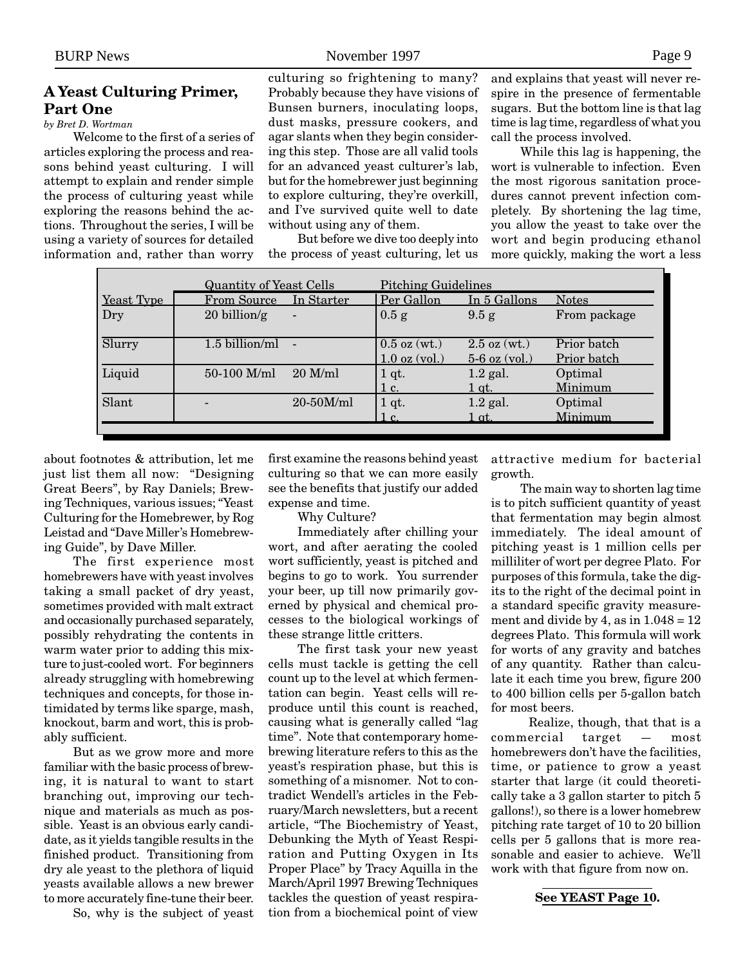# **A Yeast Culturing Primer, Part One**

*by Bret D. Wortman*

Welcome to the first of a series of articles exploring the process and reasons behind yeast culturing. I will attempt to explain and render simple the process of culturing yeast while exploring the reasons behind the actions. Throughout the series, I will be using a variety of sources for detailed information and, rather than worry

<span id="page-8-0"></span>BURP News Page 9

culturing so frightening to many? Probably because they have visions of Bunsen burners, inoculating loops, dust masks, pressure cookers, and agar slants when they begin considering this step. Those are all valid tools for an advanced yeast culturer's lab, but for the homebrewer just beginning to explore culturing, they're overkill, and I've survived quite well to date without using any of them.

But before we dive too deeply into the process of yeast culturing, let us

and explains that yeast will never respire in the presence of fermentable sugars. But the bottom line is that lag time is lag time, regardless of what you call the process involved.

While this lag is happening, the wort is vulnerable to infection. Even the most rigorous sanitation procedures cannot prevent infection completely. By shortening the lag time, you allow the yeast to take over the wort and begin producing ethanol more quickly, making the wort a less

|               | <b>Quantity of Yeast Cells</b> |                | <b>Pitching Guidelines</b> |                 |              |
|---------------|--------------------------------|----------------|----------------------------|-----------------|--------------|
| Yeast Type    | From Source                    | In Starter     | Per Gallon                 | In 5 Gallons    | <b>Notes</b> |
| $_{\rm{Dry}}$ | $20$ billion/g                 | $\blacksquare$ | 0.5 g                      | 9.5 g           | From package |
| Slurry        | 1.5 billion/ml                 |                | $0.5$ oz (wt.)             | $2.5$ oz (wt.)  | Prior batch  |
|               |                                |                | $1.0$ oz $\mathrm{(vol.)}$ | $5-6$ oz (vol.) | Prior batch  |
| Liquid        | 50-100 M/ml                    | $20$ M/ml      | 1 qt.                      | $1.2$ gal.      | Optimal      |
|               |                                |                | 1c.                        | <u>1 qt. </u>   | Minimum      |
| Slant         |                                | 20-50M/ml      | 1 qt.                      | $1.2$ gal.      | Optimal      |
|               |                                |                | 1 c.                       | 1 at. -         | Minimum      |
|               |                                |                |                            |                 |              |

about footnotes & attribution, let me just list them all now: "Designing Great Beers", by Ray Daniels; Brewing Techniques, various issues; "Yeast Culturing for the Homebrewer, by Rog Leistad and "Dave Miller's Homebrewing Guide", by Dave Miller.

The first experience most homebrewers have with yeast involves taking a small packet of dry yeast, sometimes provided with malt extract and occasionally purchased separately, possibly rehydrating the contents in warm water prior to adding this mixture to just-cooled wort. For beginners already struggling with homebrewing techniques and concepts, for those intimidated by terms like sparge, mash, knockout, barm and wort, this is probably sufficient.

But as we grow more and more familiar with the basic process of brewing, it is natural to want to start branching out, improving our technique and materials as much as possible. Yeast is an obvious early candidate, as it yields tangible results in the finished product. Transitioning from dry ale yeast to the plethora of liquid yeasts available allows a new brewer to more accurately fine-tune their beer.

So, why is the subject of yeast

first examine the reasons behind yeast culturing so that we can more easily see the benefits that justify our added expense and time.

Why Culture?

Immediately after chilling your wort, and after aerating the cooled wort sufficiently, yeast is pitched and begins to go to work. You surrender your beer, up till now primarily governed by physical and chemical processes to the biological workings of these strange little critters.

The first task your new yeast cells must tackle is getting the cell count up to the level at which fermentation can begin. Yeast cells will reproduce until this count is reached, causing what is generally called "lag time". Note that contemporary homebrewing literature refers to this as the yeast's respiration phase, but this is something of a misnomer. Not to contradict Wendell's articles in the February/March newsletters, but a recent article, "The Biochemistry of Yeast, Debunking the Myth of Yeast Respiration and Putting Oxygen in Its Proper Place" by Tracy Aquilla in the March/April 1997 Brewing Techniques tackles the question of yeast respiration from a biochemical point of view

attractive medium for bacterial growth.

The main way to shorten lag time is to pitch sufficient quantity of yeast that fermentation may begin almost immediately. The ideal amount of pitching yeast is 1 million cells per milliliter of wort per degree Plato. For purposes of this formula, take the digits to the right of the decimal point in a standard specific gravity measurement and divide by 4, as in  $1.048 = 12$ degrees Plato. This formula will work for worts of any gravity and batches of any quantity. Rather than calculate it each time you brew, figure 200 to 400 billion cells per 5-gallon batch for most beers.

 Realize, though, that that is a commercial target — most homebrewers don't have the facilities, time, or patience to grow a yeast starter that large (it could theoretically take a 3 gallon starter to pitch 5 gallons!), so there is a lower homebrew pitching rate target of 10 to 20 billion cells per 5 gallons that is more reasonable and easier to achieve. We'll work with that figure from now on.

**See YEAST Page 10.**